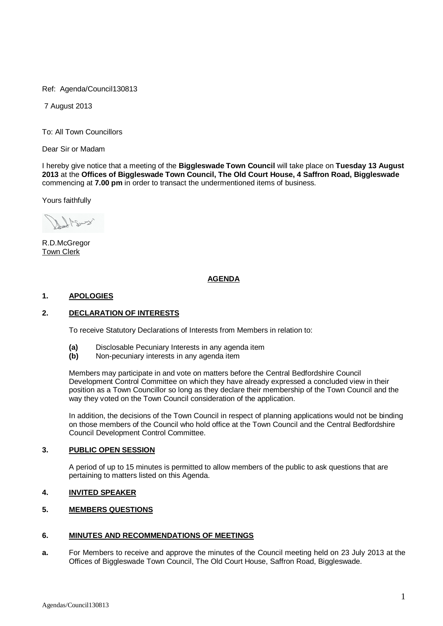Ref: Agenda/Council130813

7 August 2013

To: All Town Councillors

Dear Sir or Madam

I hereby give notice that a meeting of the **Biggleswade Town Council** will take place on **Tuesday 13 August 2013** at the **Offices of Biggleswade Town Council, The Old Court House, 4 Saffron Road, Biggleswade**  commencing at **7.00 pm** in order to transact the undermentioned items of business.

Yours faithfully

R.D.McGregor Town Clerk

## **AGENDA**

## **1. APOLOGIES**

## **2. DECLARATION OF INTERESTS**

To receive Statutory Declarations of Interests from Members in relation to:

- **(a)** Disclosable Pecuniary Interests in any agenda item
- **(b)** Non-pecuniary interests in any agenda item

Members may participate in and vote on matters before the Central Bedfordshire Council Development Control Committee on which they have already expressed a concluded view in their position as a Town Councillor so long as they declare their membership of the Town Council and the way they voted on the Town Council consideration of the application.

In addition, the decisions of the Town Council in respect of planning applications would not be binding on those members of the Council who hold office at the Town Council and the Central Bedfordshire Council Development Control Committee.

## **3. PUBLIC OPEN SESSION**

A period of up to 15 minutes is permitted to allow members of the public to ask questions that are pertaining to matters listed on this Agenda.

### **4. INVITED SPEAKER**

# **5. MEMBERS QUESTIONS**

## **6. MINUTES AND RECOMMENDATIONS OF MEETINGS**

**a.** For Members to receive and approve the minutes of the Council meeting held on 23 July 2013 at the Offices of Biggleswade Town Council, The Old Court House, Saffron Road, Biggleswade.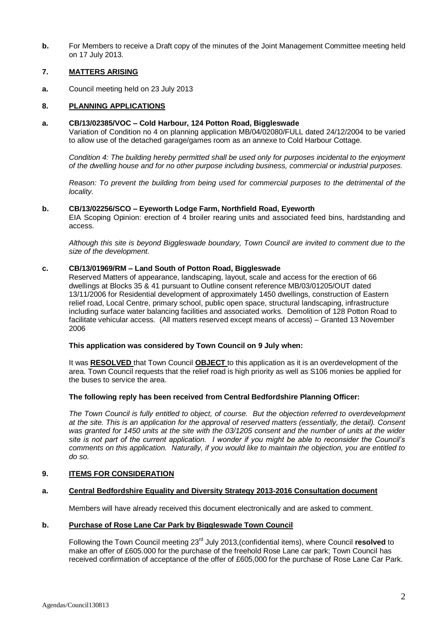**b.** For Members to receive a Draft copy of the minutes of the Joint Management Committee meeting held on 17 July 2013.

## **7. MATTERS ARISING**

**a.** Council meeting held on 23 July 2013

## **8. PLANNING APPLICATIONS**

### **a. CB/13/02385/VOC – Cold Harbour, 124 Potton Road, Biggleswade**

Variation of Condition no 4 on planning application MB/04/02080/FULL dated 24/12/2004 to be varied to allow use of the detached garage/games room as an annexe to Cold Harbour Cottage.

*Condition 4: The building hereby permitted shall be used only for purposes incidental to the enjoyment of the dwelling house and for no other purpose including business, commercial or industrial purposes.*

*Reason: To prevent the building from being used for commercial purposes to the detrimental of the locality.*

### **b. CB/13/02256/SCO – Eyeworth Lodge Farm, Northfield Road, Eyeworth**

EIA Scoping Opinion: erection of 4 broiler rearing units and associated feed bins, hardstanding and access.

*Although this site is beyond Biggleswade boundary, Town Council are invited to comment due to the size of the development.*

## **c. CB/13/01969/RM – Land South of Potton Road, Biggleswade**

Reserved Matters of appearance, landscaping, layout, scale and access for the erection of 66 dwellings at Blocks 35 & 41 pursuant to Outline consent reference MB/03/01205/OUT dated 13/11/2006 for Residential development of approximately 1450 dwellings, construction of Eastern relief road, Local Centre, primary school, public open space, structural landscaping, infrastructure including surface water balancing facilities and associated works. Demolition of 128 Potton Road to facilitate vehicular access. (All matters reserved except means of access) – Granted 13 November 2006

## **This application was considered by Town Council on 9 July when:**

It was **RESOLVED** that Town Council **OBJECT** to this application as it is an overdevelopment of the area. Town Council requests that the relief road is high priority as well as S106 monies be applied for the buses to service the area.

## **The following reply has been received from Central Bedfordshire Planning Officer:**

*The Town Council is fully entitled to object, of course. But the objection referred to overdevelopment at the site. This is an application for the approval of reserved matters (essentially, the detail). Consent*  was granted for 1450 units at the site with the 03/1205 consent and the number of units at the wider *site is not part of the current application. I wonder if you might be able to reconsider the Council's comments on this application. Naturally, if you would like to maintain the objection, you are entitled to do so.*

## **9. ITEMS FOR CONSIDERATION**

## **a. Central Bedfordshire Equality and Diversity Strategy 2013-2016 Consultation document**

Members will have already received this document electronically and are asked to comment.

### **b. Purchase of Rose Lane Car Park by Biggleswade Town Council**

Following the Town Council meeting 23rd July 2013,(confidential items), where Council **resolved** to make an offer of £605.000 for the purchase of the freehold Rose Lane car park; Town Council has received confirmation of acceptance of the offer of £605,000 for the purchase of Rose Lane Car Park.